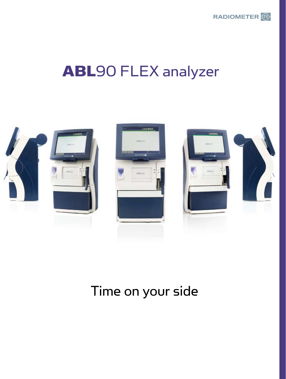

# ABL90 FLEX analyzer



# Time on your side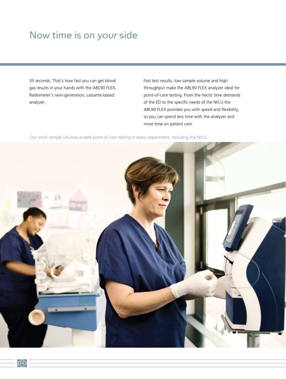## Now time is on your side

35 seconds. That's how fast you can get blood gas results in your hands with the ABL90 FLEX, Radiometer's next-generation, cassette-based analyzer.

Fast test results, low sample volume and high throughput make the ABL90 FLEX analyzer ideal for point-of-care testing. From the hectic time demands of the ED to the specific needs of the NICU the ABL90 FLEX provides you with speed and flexibility, so you can spend less time with the analyzer and more time on patient care.

Our small sample volumes enable point-of-care testing in every department, including the NICU.

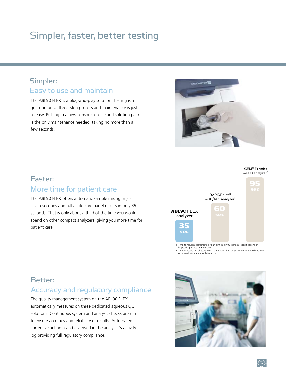# Simpler, faster, better testing

### Simpler: Easy to use and maintain

The ABL90 FLEX is a plug-and-play solution. Testing is a quick, intuitive three-step process and maintenance is just as easy. Putting in a new sensor cassette and solution pack is the only maintenance needed, taking no more than a few seconds.



### Faster: More time for patient care

The ABL90 FLEX offers automatic sample mixing in just seven seconds and full acute care panel results in only 35 seconds. That is only about a third of the time you would spend on other compact analyzers, giving you more time for patient care.





1. Time to results according to RAPIDPoint 400/405 technical specifications on http://diagnostics.siemens.com 2. Time to results for all tests with CO-Ox according to GEM Premier 4000 brochure

#### on www.instrumentationlaboratory.com

### Better: Accuracy and regulatory compliance

The quality management system on the ABL90 FLEX automatically measures on three dedicated aqueous QC solutions. Continuous system and analysis checks are run to ensure accuracy and reliability of results. Automated corrective actions can be viewed in the analyzer's activity log providing full regulatory compliance.



#### ER)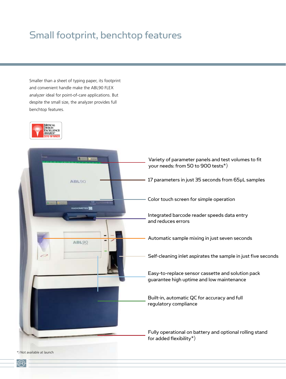# Small footprint, benchtop features

Smaller than a sheet of typing paper, its footprint and convenient handle make the ABL90 FLEX analyzer ideal for point-of-care applications. But despite the small size, the analyzer provides full benchtop features.



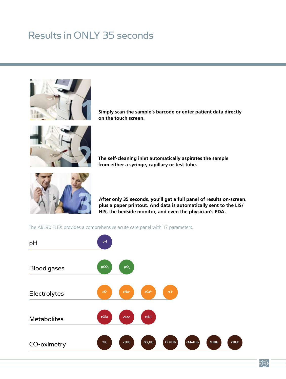# Results in ONLY 35 seconds



**2**



**The self-cleaning inlet automatically aspirates the sample from either a syringe, capillary or test tube.**



**After only 35 seconds, you'll get a full panel of results on-screen, plus a paper printout. And data is automatically sent to the LIS/ HIS, the bedside monitor, and even the physician's PDA.**

#### The ABL90 FLEX provides a comprehensive acute care panel with 17 parameters.



E(R)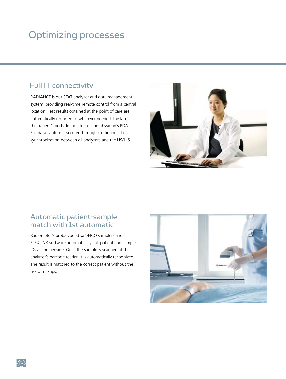# Optimizing processes

## Full IT connectivity

RADIANCE is our STAT analyzer and data management system, providing real-time remote control from a central location. Test results obtained at the point of care are automatically reported to wherever needed: the lab, the patient's bedside monitor, or the physician's PDA. Full data capture is secured through continuous data synchronization between all analyzers and the LIS/HIS.



#### Automatic patient-sample match with 1st automatic

Radiometer's prebarcoded *safe*PICO samplers and FLEXLINK software automatically link patient and sample IDs at the bedside. Once the sample is scanned at the analyzer's barcode reader, it is automatically recognized. The result is matched to the correct patient without the risk of mixups.

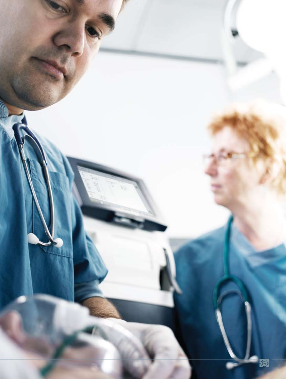